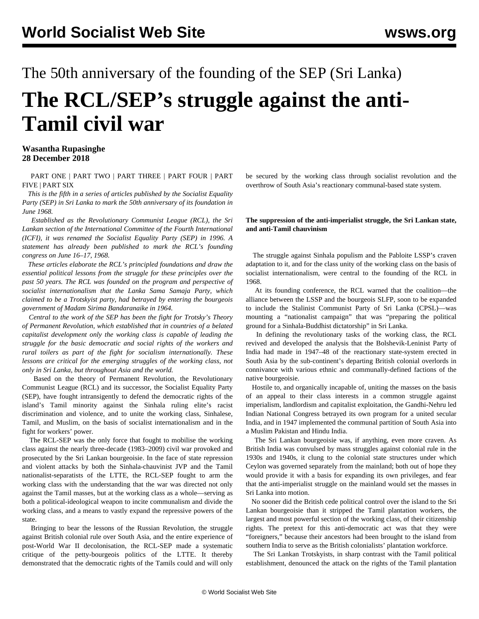# The 50th anniversary of the founding of the SEP (Sri Lanka) **The RCL/SEP's struggle against the anti-Tamil civil war**

# **Wasantha Rupasinghe 28 December 2018**

 [PART ONE](/en/articles/2018/09/24/sri1-s24.html) | [PART TWO](/en/articles/2018/09/26/sri2-s26.html) | [PART THREE](/en/articles/2018/09/28/sri3-s28.html) | [PART FOUR](/en/articles/2018/12/27/aniv-d27.html) | [PART](/en/articles/2018/12/28/sri5-d28.html) [FIVE](/en/articles/2018/12/28/sri5-d28.html) | [PART SIX](/en/articles/2018/12/29/aniv-d29.html)

 *This is the fifth in a series of articles published by the Socialist Equality Party (SEP) in Sri Lanka to mark the 50th anniversary of its foundation in June 1968.* 

 *Established as the Revolutionary Communist League (RCL), the Sri Lankan section of the International Committee of the Fourth International (ICFI), it was renamed the Socialist Equality Party (SEP) in 1996. A statement has already been published to mark the RCL's founding congress on June 16–17, 1968.*

 *These articles elaborate the RCL's principled foundations and draw the essential political lessons from the struggle for these principles over the past 50 years. The RCL was founded on the program and perspective of socialist internationalism that the Lanka Sama Samaja Party, which claimed to be a Trotskyist party, had betrayed by entering the bourgeois government of Madam Sirima Bandaranaike in 1964.*

 *Central to the work of the SEP has been the fight for Trotsky's Theory of Permanent Revolution, which established that in countries of a belated capitalist development only the working class is capable of leading the struggle for the basic democratic and social rights of the workers and rural toilers as part of the fight for socialism internationally. These lessons are critical for the emerging struggles of the working class, not only in Sri Lanka, but throughout Asia and the world.*

 Based on the theory of Permanent Revolution, the Revolutionary Communist League (RCL) and its successor, the Socialist Equality Party (SEP), have fought intransigently to defend the democratic rights of the island's Tamil minority against the Sinhala ruling elite's racist discrimination and violence, and to unite the working class, Sinhalese, Tamil, and Muslim, on the basis of socialist internationalism and in the fight for workers' power.

 The RCL-SEP was the only force that fought to mobilise the working class against the nearly three-decade (1983–2009) civil war provoked and prosecuted by the Sri Lankan bourgeoisie. In the face of state repression and violent attacks by both the Sinhala-chauvinist JVP and the Tamil nationalist-separatists of the LTTE, the RCL-SEP fought to arm the working class with the understanding that the war was directed not only against the Tamil masses, but at the working class as a whole—serving as both a political-ideological weapon to incite communalism and divide the working class, and a means to vastly expand the repressive powers of the state.

 Bringing to bear the lessons of the Russian Revolution, the struggle against British colonial rule over South Asia, and the entire experience of post-World War II decolonisation, the RCL-SEP made a systematic critique of the petty-bourgeois politics of the LTTE. It thereby demonstrated that the democratic rights of the Tamils could and will only be secured by the working class through socialist revolution and the overthrow of South Asia's reactionary communal-based state system.

### **The suppression of the anti-imperialist struggle, the Sri Lankan state, and anti-Tamil chauvinism**

 The struggle against Sinhala populism and the Pabloite LSSP's craven adaptation to it, and for the class unity of the working class on the basis of socialist internationalism, were central to the founding of the RCL in 1968.

 At its founding conference, the RCL warned that the coalition—the alliance between the LSSP and the bourgeois SLFP, soon to be expanded to include the Stalinist Communist Party of Sri Lanka (CPSL)—was mounting a "nationalist campaign" that was "preparing the political ground for a Sinhala-Buddhist dictatorship" in Sri Lanka.

 In defining the revolutionary tasks of the working class, the RCL revived and developed the analysis that the Bolshevik-Leninist Party of India had made in 1947–48 of the reactionary state-system erected in South Asia by the sub-continent's departing British colonial overlords in connivance with various ethnic and communally-defined factions of the native bourgeoisie.

 Hostile to, and organically incapable of, uniting the masses on the basis of an appeal to their class interests in a common struggle against imperialism, landlordism and capitalist exploitation, the Gandhi-Nehru led Indian National Congress betrayed its own program for a united secular India, and in 1947 implemented the communal partition of South Asia into a Muslim Pakistan and Hindu India.

 The Sri Lankan bourgeoisie was, if anything, even more craven. As British India was convulsed by mass struggles against colonial rule in the 1930s and 1940s, it clung to the colonial state structures under which Ceylon was governed separately from the mainland; both out of hope they would provide it with a basis for expanding its own privileges, and fear that the anti-imperialist struggle on the mainland would set the masses in Sri Lanka into motion.

 No sooner did the British cede political control over the island to the Sri Lankan bourgeoisie than it stripped the Tamil plantation workers, the largest and most powerful section of the working class, of their citizenship rights. The pretext for this anti-democratic act was that they were "foreigners," because their ancestors had been brought to the island from southern India to serve as the British colonialists' plantation workforce.

 The Sri Lankan Trotskyists, in sharp contrast with the Tamil political establishment, denounced the attack on the rights of the Tamil plantation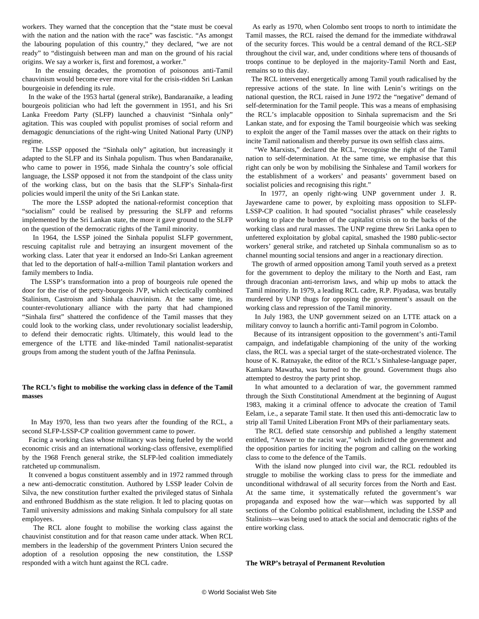workers. They warned that the conception that the "state must be coeval with the nation and the nation with the race" was fascistic. "As amongst the labouring population of this country," they declared, "we are not ready" to "distinguish between man and man on the ground of his racial origins. We say a worker is, first and foremost, a worker."

 In the ensuing decades, the promotion of poisonous anti-Tamil chauvinism would become ever more vital for the crisis-ridden Sri Lankan bourgeoisie in defending its rule.

 In the wake of the 1953 hartal (general strike), Bandaranaike, a leading bourgeois politician who had left the government in 1951, and his Sri Lanka Freedom Party (SLFP) launched a chauvinist "Sinhala only" agitation. This was coupled with populist promises of social reform and demagogic denunciations of the right-wing United National Party (UNP) regime.

 The LSSP opposed the "Sinhala only" agitation, but increasingly it adapted to the SLFP and its Sinhala populism. Thus when Bandaranaike, who came to power in 1956, made Sinhala the country's sole official language, the LSSP opposed it not from the standpoint of the class unity of the working class, but on the basis that the SLFP's Sinhala-first policies would imperil the unity of the Sri Lankan state.

 The more the LSSP adopted the national-reformist conception that "socialism" could be realised by pressuring the SLFP and reforms implemented by the Sri Lankan state, the more it gave ground to the SLFP on the question of the democratic rights of the Tamil minority.

 In 1964, the LSSP joined the Sinhala populist SLFP government, rescuing capitalist rule and betraying an insurgent movement of the working class. Later that year it endorsed an Indo-Sri Lankan agreement that led to the deportation of half-a-million Tamil plantation workers and family members to India.

 The LSSP's transformation into a prop of bourgeois rule opened the door for the rise of the petty-bourgeois JVP, which eclectically combined Stalinism, Castroism and Sinhala chauvinism. At the same time, its counter-revolutionary alliance with the party that had championed "Sinhala first" shattered the confidence of the Tamil masses that they could look to the working class, under revolutionary socialist leadership, to defend their democratic rights. Ultimately, this would lead to the emergence of the LTTE and like-minded Tamil nationalist-separatist groups from among the student youth of the Jaffna Peninsula.

# **The RCL's fight to mobilise the working class in defence of the Tamil masses**

 In May 1970, less than two years after the founding of the RCL, a second SLFP-LSSP-CP coalition government came to power.

 Facing a working class whose militancy was being fueled by the world economic crisis and an international working-class offensive, exemplified by the 1968 French general strike, the SLFP-led coalition immediately ratcheted up communalism.

 It convened a bogus constituent assembly and in 1972 rammed through a new anti-democratic constitution. Authored by LSSP leader Colvin de Silva, the new constitution further exalted the privileged status of Sinhala and enthroned Buddhism as the state religion. It led to placing quotas on Tamil university admissions and making Sinhala compulsory for all state employees.

 The RCL alone fought to mobilise the working class against the chauvinist constitution and for that reason came under attack. When RCL members in the leadership of the government Printers Union secured the adoption of a resolution opposing the new constitution, the LSSP responded with a witch hunt against the RCL cadre.

 As early as 1970, when Colombo sent troops to north to intimidate the Tamil masses, the RCL raised the demand for the immediate withdrawal of the security forces. This would be a central demand of the RCL-SEP throughout the civil war, and, under conditions where tens of thousands of troops continue to be deployed in the majority-Tamil North and East, remains so to this day.

 The RCL intervened energetically among Tamil youth radicalised by the repressive actions of the state. In line with Lenin's writings on the national question, the RCL raised in June 1972 the "negative" demand of self-determination for the Tamil people. This was a means of emphasising the RCL's implacable opposition to Sinhala supremacism and the Sri Lankan state, and for exposing the Tamil bourgeoisie which was seeking to exploit the anger of the Tamil masses over the attack on their rights to incite Tamil nationalism and thereby pursue its own selfish class aims.

 "We Marxists," declared the RCL, "recognise the right of the Tamil nation to self-determination. At the same time, we emphasise that this right can only be won by mobilising the Sinhalese and Tamil workers for the establishment of a workers' and peasants' government based on socialist policies and recognising this right."

 In 1977, an openly right-wing UNP government under J. R. Jayewardene came to power, by exploiting mass opposition to SLFP-LSSP-CP coalition. It had spouted "socialist phrases" while ceaselessly working to place the burden of the capitalist crisis on to the backs of the working class and rural masses. The UNP regime threw Sri Lanka open to unfettered exploitation by global capital, smashed the 1980 public-sector workers' general strike, and ratcheted up Sinhala communalism so as to channel mounting social tensions and anger in a reactionary direction.

 The growth of armed opposition among Tamil youth served as a pretext for the government to deploy the military to the North and East, ram through draconian anti-terrorism laws, and whip up mobs to attack the Tamil minority. In 1979, a leading RCL cadre, R.P. Piyadasa, was brutally murdered by UNP thugs for opposing the government's assault on the working class and repression of the Tamil minority.

 In July 1983, the UNP government seized on an LTTE attack on a military convoy to launch a horrific anti-Tamil pogrom in Colombo.

 Because of its intransigent opposition to the government's anti-Tamil campaign, and indefatigable championing of the unity of the working class, the RCL was a special target of the state-orchestrated violence. The house of K. Ratnayake, the editor of the RCL's Sinhalese-language paper, Kamkaru Mawatha, was burned to the ground. Government thugs also attempted to destroy the party print shop.

 In what amounted to a declaration of war, the government rammed through the Sixth Constitutional Amendment at the beginning of August 1983, making it a criminal offence to advocate the creation of Tamil Eelam, i.e., a separate Tamil state. It then used this anti-democratic law to strip all Tamil United Liberation Front MPs of their parliamentary seats.

 The RCL defied state censorship and published a lengthy statement entitled, "Answer to the racist war," which indicted the government and the opposition parties for inciting the pogrom and calling on the working class to come to the defence of the Tamils.

 With the island now plunged into civil war, the RCL redoubled its struggle to mobilise the working class to press for the immediate and unconditional withdrawal of all security forces from the North and East. At the same time, it systematically refuted the government's war propaganda and exposed how the war—which was supported by all sections of the Colombo political establishment, including the LSSP and Stalinists—was being used to attack the social and democratic rights of the entire working class.

**The WRP's betrayal of Permanent Revolution**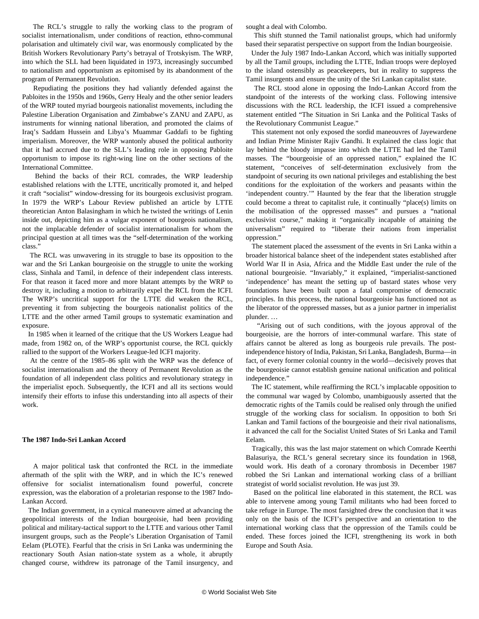The RCL's struggle to rally the working class to the program of socialist internationalism, under conditions of reaction, ethno-communal polarisation and ultimately civil war, was enormously complicated by the British Workers Revolutionary Party's betrayal of Trotskyism. The WRP, into which the SLL had been liquidated in 1973, increasingly succumbed to nationalism and opportunism as epitomised by its abandonment of the program of Permanent Revolution.

 Repudiating the positions they had valiantly defended against the Pabloites in the 1950s and 1960s, Gerry Healy and the other senior leaders of the WRP touted myriad bourgeois nationalist movements, including the Palestine Liberation Organisation and Zimbabwe's ZANU and ZAPU, as instruments for winning national liberation, and promoted the claims of Iraq's Saddam Hussein and Libya's Muammar Gaddafi to be fighting imperialism. Moreover, the WRP wantonly abused the political authority that it had accrued due to the SLL's leading role in opposing Pabloite opportunism to impose its right-wing line on the other sections of the International Committee.

 Behind the backs of their RCL comrades, the WRP leadership established relations with the LTTE, uncritically promoted it, and helped it craft "socialist" window-dressing for its bourgeois exclusivist program. In 1979 the WRP's Labour Review published an article by LTTE theoretician Anton Balasingham in which he twisted the writings of Lenin inside out, depicting him as a vulgar exponent of bourgeois nationalism, not the implacable defender of socialist internationalism for whom the principal question at all times was the "self-determination of the working class."

 The RCL was unwavering in its struggle to base its opposition to the war and the Sri Lankan bourgeoisie on the struggle to unite the working class, Sinhala and Tamil, in defence of their independent class interests. For that reason it faced more and more blatant attempts by the WRP to destroy it, including a motion to arbitrarily expel the RCL from the ICFI. The WRP's uncritical support for the LTTE did weaken the RCL, preventing it from subjecting the bourgeois nationalist politics of the LTTE and the other armed Tamil groups to systematic examination and exposure.

 In 1985 when it learned of the critique that the US Workers League had made, from 1982 on, of the WRP's opportunist course, the RCL quickly rallied to the support of the Workers League-led ICFI majority.

 At the centre of the 1985–86 split with the WRP was the defence of socialist internationalism and the theory of Permanent Revolution as the foundation of all independent class politics and revolutionary strategy in the imperialist epoch. Subsequently, the ICFI and all its sections would intensify their efforts to infuse this understanding into all aspects of their work.

#### **The 1987 Indo-Sri Lankan Accord**

 A major political task that confronted the RCL in the immediate aftermath of the split with the WRP, and in which the IC's renewed offensive for socialist internationalism found powerful, concrete expression, was the elaboration of a proletarian response to the 1987 Indo-Lankan Accord.

 The Indian government, in a cynical maneouvre aimed at advancing the geopolitical interests of the Indian bourgeoisie, had been providing political and military-tactical support to the LTTE and various other Tamil insurgent groups, such as the People's Liberation Organisation of Tamil Eelam (PLOTE). Fearful that the crisis in Sri Lanka was undermining the reactionary South Asian nation-state system as a whole, it abruptly changed course, withdrew its patronage of the Tamil insurgency, and

sought a deal with Colombo.

 This shift stunned the Tamil nationalist groups, which had uniformly based their separatist perspective on support from the Indian bourgeoisie.

 Under the July 1987 Indo-Lankan Accord, which was initially supported by all the Tamil groups, including the LTTE, Indian troops were deployed to the island ostensibly as peacekeepers, but in reality to suppress the Tamil insurgents and ensure the unity of the Sri Lankan capitalist state.

 The RCL stood alone in opposing the Indo-Lankan Accord from the standpoint of the interests of the working class. Following intensive discussions with the RCL leadership, the ICFI issued a comprehensive statement entitled "The Situation in Sri Lanka and the Political Tasks of the Revolutionary Communist League."

 This statement not only exposed the sordid maneouvres of Jayewardene and Indian Prime Minister Rajiv Gandhi. It explained the class logic that lay behind the bloody impasse into which the LTTE had led the Tamil masses. The "bourgeoisie of an oppressed nation," explained the IC statement, "conceives of self-determination exclusively from the standpoint of securing its own national privileges and establishing the best conditions for the exploitation of the workers and peasants within the 'independent country.'" Haunted by the fear that the liberation struggle could become a threat to capitalist rule, it continually "place(s) limits on the mobilisation of the oppressed masses" and pursues a "national exclusivist course," making it "organically incapable of attaining the universalism" required to "liberate their nations from imperialist oppression."

 The statement placed the assessment of the events in Sri Lanka within a broader historical balance sheet of the independent states established after World War II in Asia, Africa and the Middle East under the rule of the national bourgeoisie. "Invariably," it explained, "imperialist-sanctioned 'independence' has meant the setting up of bastard states whose very foundations have been built upon a fatal compromise of democratic principles. In this process, the national bourgeoisie has functioned not as the liberator of the oppressed masses, but as a junior partner in imperialist plunder. …

 "Arising out of such conditions, with the joyous approval of the bourgeoisie, are the horrors of inter-communal warfare. This state of affairs cannot be altered as long as bourgeois rule prevails. The postindependence history of India, Pakistan, Sri Lanka, Bangladesh, Burma—in fact, of every former colonial country in the world—decisively proves that the bourgeoisie cannot establish genuine national unification and political independence."

 The IC statement, while reaffirming the RCL's implacable opposition to the communal war waged by Colombo, unambiguously asserted that the democratic rights of the Tamils could be realised only through the unified struggle of the working class for socialism. In opposition to both Sri Lankan and Tamil factions of the bourgeoisie and their rival nationalisms, it advanced the call for the Socialist United States of Sri Lanka and Tamil Eelam.

 Tragically, this was the last major statement on which Comrade Keerthi Balasuriya, the RCL's general secretary since its foundation in 1968, would work. His death of a coronary thrombosis in December 1987 robbed the Sri Lankan and international working class of a brilliant strategist of world socialist revolution. He was just 39.

 Based on the political line elaborated in this statement, the RCL was able to intervene among young Tamil militants who had been forced to take refuge in Europe. The most farsighted drew the conclusion that it was only on the basis of the ICFI's perspective and an orientation to the international working class that the oppression of the Tamils could be ended. These forces joined the ICFI, strengthening its work in both Europe and South Asia.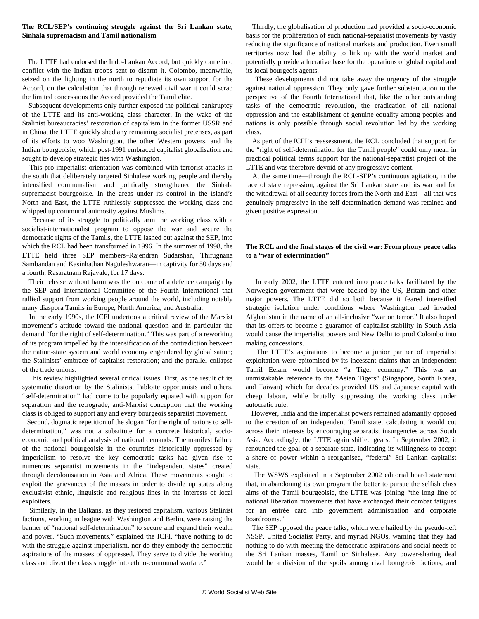# **The RCL/SEP's continuing struggle against the Sri Lankan state, Sinhala supremacism and Tamil nationalism**

 The LTTE had endorsed the Indo-Lankan Accord, but quickly came into conflict with the Indian troops sent to disarm it. Colombo, meanwhile, seized on the fighting in the north to repudiate its own support for the Accord, on the calculation that through renewed civil war it could scrap the limited concessions the Accord provided the Tamil elite.

 Subsequent developments only further exposed the political bankruptcy of the LTTE and its anti-working class character. In the wake of the Stalinist bureaucracies' restoration of capitalism in the former USSR and in China, the LTTE quickly shed any remaining socialist pretenses, as part of its efforts to woo Washington, the other Western powers, and the Indian bourgeoisie, which post-1991 embraced capitalist globalisation and sought to develop strategic ties with Washington.

 This pro-imperialist orientation was combined with terrorist attacks in the south that deliberately targeted Sinhalese working people and thereby intensified communalism and politically strengthened the Sinhala supremacist bourgeoisie. In the areas under its control in the island's North and East, the LTTE ruthlessly suppressed the working class and whipped up communal animosity against Muslims.

 Because of its struggle to politically arm the working class with a socialist-internationalist program to oppose the war and secure the democratic rights of the Tamils, the LTTE lashed out against the SEP, into which the RCL had been transformed in 1996. In the summer of 1998, the LTTE held three SEP members–Rajendran Sudarshan, Thirugnana Sambandan and Kasinhathan Naguleshwaran—in captivity for 50 days and a fourth, Rasaratnam Rajavale, for 17 days.

 Their release without harm was the outcome of a defence campaign by the SEP and International Committee of the Fourth International that rallied support from working people around the world, including notably many diaspora Tamils in Europe, North America, and Australia.

 In the early 1990s, the ICFI undertook a critical review of the Marxist movement's attitude toward the national question and in particular the demand "for the right of self-determination." This was part of a reworking of its program impelled by the intensification of the contradiction between the nation-state system and world economy engendered by globalisation; the Stalinists' embrace of capitalist restoration; and the parallel collapse of the trade unions.

 This review highlighted several critical issues. First, as the result of its systematic distortion by the Stalinists, Pabloite opportunists and others, "self-determination" had come to be popularly equated with support for separation and the retrograde, anti-Marxist conception that the working class is obliged to support any and every bourgeois separatist movement.

 Second, dogmatic repetition of the slogan "for the right of nations to selfdetermination," was not a substitute for a concrete historical, socioeconomic and political analysis of national demands. The manifest failure of the national bourgeoisie in the countries historically oppressed by imperialism to resolve the key democratic tasks had given rise to numerous separatist movements in the "independent states" created through decolonisation in Asia and Africa. These movements sought to exploit the grievances of the masses in order to divide up states along exclusivist ethnic, linguistic and religious lines in the interests of local exploiters.

 Similarly, in the Balkans, as they restored capitalism, various Stalinist factions, working in league with Washington and Berlin, were raising the banner of "national self-determination" to secure and expand their wealth and power. "Such movements," explained the ICFI, "have nothing to do with the struggle against imperialism, nor do they embody the democratic aspirations of the masses of oppressed. They serve to divide the working class and divert the class struggle into ethno-communal warfare."

 Thirdly, the globalisation of production had provided a socio-economic basis for the proliferation of such national-separatist movements by vastly reducing the significance of national markets and production. Even small territories now had the ability to link up with the world market and potentially provide a lucrative base for the operations of global capital and its local bourgeois agents.

 These developments did not take away the urgency of the struggle against national oppression. They only gave further substantiation to the perspective of the Fourth International that, like the other outstanding tasks of the democratic revolution, the eradication of all national oppression and the establishment of genuine equality among peoples and nations is only possible through social revolution led by the working class.

 As part of the ICFI's reassessment, the RCL concluded that support for the "right of self-determination for the Tamil people" could only mean in practical political terms support for the national-separatist project of the LTTE and was therefore devoid of any progressive content.

 At the same time—through the RCL-SEP's continuous agitation, in the face of state repression, against the Sri Lankan state and its war and for the withdrawal of all security forces from the North and East—all that was genuinely progressive in the self-determination demand was retained and given positive expression.

## **The RCL and the final stages of the civil war: From phony peace talks to a "war of extermination"**

 In early 2002, the LTTE entered into peace talks facilitated by the Norwegian government that were backed by the US, Britain and other major powers. The LTTE did so both because it feared intensified strategic isolation under conditions where Washington had invaded Afghanistan in the name of an all-inclusive "war on terror." It also hoped that its offers to become a guarantor of capitalist stability in South Asia would cause the imperialist powers and New Delhi to prod Colombo into making concessions.

 The LTTE's aspirations to become a junior partner of imperialist exploitation were epitomised by its incessant claims that an independent Tamil Eelam would become "a Tiger economy." This was an unmistakable reference to the "Asian Tigers" (Singapore, South Korea, and Taiwan) which for decades provided US and Japanese capital with cheap labour, while brutally suppressing the working class under autocratic rule.

 However, India and the imperialist powers remained adamantly opposed to the creation of an independent Tamil state, calculating it would cut across their interests by encouraging separatist insurgencies across South Asia. Accordingly, the LTTE again shifted gears. In September 2002, it renounced the goal of a separate state, indicating its willingness to accept a share of power within a reorganised, "federal" Sri Lankan capitalist state.

 The WSWS explained in a September 2002 editorial board statement that, in abandoning its own program the better to pursue the selfish class aims of the Tamil bourgeoisie, the LTTE was joining "the long line of national liberation movements that have exchanged their combat fatigues for an entrée card into government administration and corporate boardrooms."

 The SEP opposed the peace talks, which were hailed by the pseudo-left NSSP, United Socialist Party, and myriad NGOs, warning that they had nothing to do with meeting the democratic aspirations and social needs of the Sri Lankan masses, Tamil or Sinhalese. Any power-sharing deal would be a division of the spoils among rival bourgeois factions, and